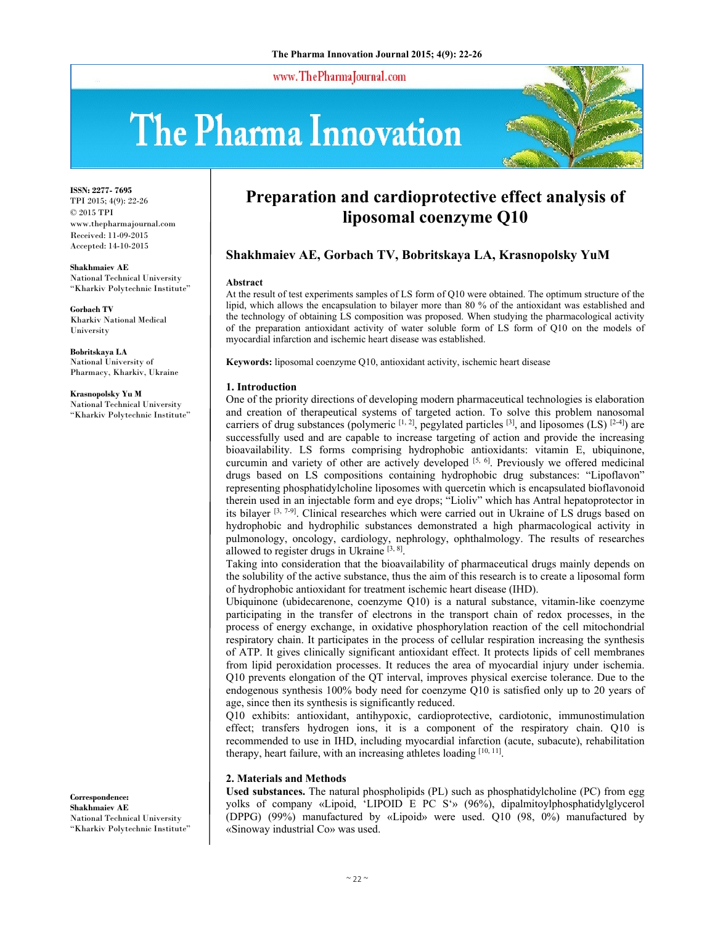www.ThePharmaJournal.com

# The Pharma Innovation



**ISSN: 2277- 7695** TPI 2015; 4(9): 22-26 © 2015 TPI www.thepharmajournal.com Received: 11-09-2015 Accepted: 14-10-2015

**Shakhmaiev AE**  National Technical University "Kharkiv Polytechnic Institute"

**Gorbach TV**  Kharkiv National Medical University

**Bobritskaya LA**  National University of Pharmacy, Kharkiv, Ukraine

**Krasnopolsky Yu M**  National Technical University "Kharkiv Polytechnic Institute"

**Correspondence: Shakhmaiev AE**  National Technical University "Kharkiv Polytechnic Institute"

# **Preparation and cardioprotective effect analysis of liposomal coenzyme Q10**

# **Shakhmaiev AE, Gorbach TV, Bobritskaya LA, Krasnopolsky YuM**

#### **Abstract**

At the result of test experiments samples of LS form of Q10 were obtained. The optimum structure of the lipid, which allows the encapsulation to bilayer more than 80 % of the antioxidant was established and the technology of obtaining LS composition was proposed. When studying the pharmacological activity of the preparation antioxidant activity of water soluble form of LS form of Q10 on the models of myocardial infarction and ischemic heart disease was established.

**Keywords:** liposomal coenzyme Q10, antioxidant activity, ischemic heart disease

#### **1. Introduction**

One of the priority directions of developing modern pharmaceutical technologies is elaboration and creation of therapeutical systems of targeted action. To solve this problem nanosomal carriers of drug substances (polymeric  $[1, 2]$ , pegylated particles  $[3]$ , and liposomes (LS)  $[2-4]$ ) are successfully used and are capable to increase targeting of action and provide the increasing bioavailability. LS forms comprising hydrophobic antioxidants: vitamin E, ubiquinone, curcumin and variety of other are actively developed [5, 6]. Previously we offered medicinal drugs based on LS compositions containing hydrophobic drug substances: "Lipoflavon" representing phosphatidylcholine liposomes with quercetin which is encapsulated bioflavonoid therein used in an injectable form and eye drops; "Lioliv" which has Antral hepatoprotector in its bilayer [3, 7-9]. Clinical researches which were carried out in Ukraine of LS drugs based on hydrophobic and hydrophilic substances demonstrated a high pharmacological activity in pulmonology, oncology, cardiology, nephrology, ophthalmology. The results of researches allowed to register drugs in Ukraine  $[3, 8]$ .

Taking into consideration that the bioavailability of pharmaceutical drugs mainly depends on the solubility of the active substance, thus the aim of this research is to create a liposomal form of hydrophobic antioxidant for treatment ischemic heart disease (IHD).

Ubiquinone (ubidecarenone, coenzyme Q10) is a natural substance, vitamin-like coenzyme participating in the transfer of electrons in the transport chain of redox processes, in the process of energy exchange, in oxidative phosphorylation reaction of the cell mitochondrial respiratory chain. It participates in the process of cellular respiration increasing the synthesis of ATP. It gives clinically significant antioxidant effect. It protects lipids of cell membranes from lipid peroxidation processes. It reduces the area of myocardial injury under ischemia. Q10 prevents elongation of the QT interval, improves physical exercise tolerance. Due to the endogenous synthesis 100% body need for coenzyme Q10 is satisfied only up to 20 years of age, since then its synthesis is significantly reduced.

Q10 exhibits: antioxidant, antihypoxic, cardioprotective, cardiotonic, immunostimulation effect; transfers hydrogen ions, it is a component of the respiratory chain. Q10 is recommended to use in IHD, including myocardial infarction (acute, subacute), rehabilitation therapy, heart failure, with an increasing athletes loading [10, 11].

#### **2. Materials and Methods**

**Used substances.** The natural phospholipids (PL) such as phosphatidylcholine (PC) from egg yolks of company «Lipoid, 'LIPOID E PC S'» (96%), dipalmitoylphosphatidylglycerol (DPPG) (99%) manufactured by «Lipoid» were used. Q10 (98, 0%) manufactured by «Sinoway industrial Co» was used.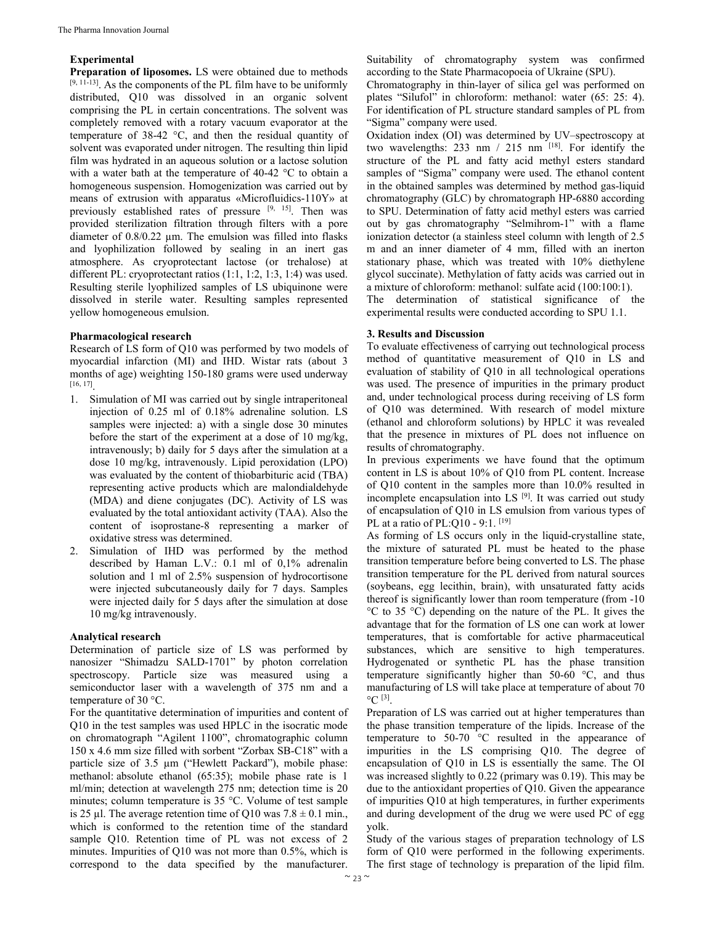#### **Experimental**

**Preparation of liposomes.** LS were obtained due to methods [9, 11-13]. As the components of the PL film have to be uniformly distributed, Q10 was dissolved in an organic solvent comprising the PL in certain concentrations. The solvent was completely removed with a rotary vacuum evaporator at the temperature of 38-42 °C, and then the residual quantity of solvent was evaporated under nitrogen. The resulting thin lipid film was hydrated in an aqueous solution or a lactose solution with a water bath at the temperature of 40-42 °C to obtain a homogeneous suspension. Homogenization was carried out by means of extrusion with apparatus «Microfluidics-110Y» at previously established rates of pressure [9, 15]. Then was provided sterilization filtration through filters with a pore diameter of 0.8/0.22 µm. The emulsion was filled into flasks and lyophilization followed by sealing in an inert gas atmosphere. As cryoprotectant lactose (or trehalose) at different PL: cryoprotectant ratios (1:1, 1:2, 1:3, 1:4) was used. Resulting sterile lyophilized samples of LS ubiquinone were dissolved in sterile water. Resulting samples represented yellow homogeneous emulsion.

#### **Pharmacological research**

Research of LS form of Q10 was performed by two models of myocardial infarction (MI) and IHD. Wistar rats (about 3 months of age) weighting 150-180 grams were used underway [16, 17].

- 1. Simulation of MI was carried out by single intraperitoneal injection of 0.25 ml of 0.18% adrenaline solution. LS samples were injected: a) with a single dose 30 minutes before the start of the experiment at a dose of 10 mg/kg, intravenously; b) daily for 5 days after the simulation at a dose 10 mg/kg, intravenously. Lipid peroxidation (LPO) was evaluated by the content of thiobarbituric acid (TBA) representing active products which are malondialdehyde (MDA) and diene conjugates (DC). Activity of LS was evaluated by the total antioxidant activity (TAA). Also the content of isoprostane-8 representing a marker of oxidative stress was determined.
- 2. Simulation of IHD was performed by the method described by Haman L.V.: 0.1 ml of 0,1% adrenalin solution and 1 ml of 2.5% suspension of hydrocortisone were injected subcutaneously daily for 7 days. Samples were injected daily for 5 days after the simulation at dose 10 mg/kg intravenously.

## **Analytical research**

Determination of particle size of LS was performed by nanosizer "Shimadzu SALD-1701" by photon correlation spectroscopy. Particle size was measured using a semiconductor laser with a wavelength of 375 nm and a temperature of 30 °C.

For the quantitative determination of impurities and content of Q10 in the test samples was used HPLC in the isocratic mode on chromatograph "Agilent 1100", chromatographic column 150 x 4.6 mm size filled with sorbent "Zorbax SB-C18" with a particle size of 3.5 µm ("Hewlett Packard"), mobile phase: methanol: absolute ethanol (65:35); mobile phase rate is 1 ml/min; detection at wavelength 275 nm; detection time is 20 minutes; column temperature is 35 °C. Volume of test sample is 25 µl. The average retention time of Q10 was  $7.8 \pm 0.1$  min., which is conformed to the retention time of the standard sample Q10. Retention time of PL was not excess of 2 minutes. Impurities of Q10 was not more than 0.5%, which is correspond to the data specified by the manufacturer.

Suitability of chromatography system was confirmed according to the State Pharmacopoeia of Ukraine (SPU).

Chromatography in thin-layer of silica gel was performed on plates "Silufol" in chloroform: methanol: water (65: 25: 4). For identification of PL structure standard samples of PL from "Sigma" company were used.

Oxidation index (OI) was determined by UV–spectroscopy at two wavelengths:  $233 \text{ nm}$  /  $215 \text{ nm}$  [18]. For identify the structure of the PL and fatty acid methyl esters standard samples of "Sigma" company were used. The ethanol content in the obtained samples was determined by method gas-liquid chromatography (GLC) by chromatograph HP-6880 according to SPU. Determination of fatty acid methyl esters was carried out by gas chromatography "Selmihrom-1" with a flame ionization detector (a stainless steel column with length of 2.5 m and an inner diameter of 4 mm, filled with an inerton stationary phase, which was treated with 10% diethylene glycol succinate). Methylation of fatty acids was carried out in a mixture of chloroform: methanol: sulfate acid (100:100:1). The determination of statistical significance of the

# **3. Results and Discussion**

To evaluate effectiveness of carrying out technological process method of quantitative measurement of Q10 in LS and evaluation of stability of Q10 in all technological operations was used. The presence of impurities in the primary product and, under technological process during receiving of LS form of Q10 was determined. With research of model mixture (ethanol and chloroform solutions) by HPLC it was revealed that the presence in mixtures of PL does not influence on results of chromatography.

experimental results were conducted according to SPU 1.1.

In previous experiments we have found that the optimum content in LS is about 10% of Q10 from PL content. Increase of Q10 content in the samples more than 10.0% resulted in incomplete encapsulation into LS [9]. It was carried out study of encapsulation of Q10 in LS emulsion from various types of PL at a ratio of PL:Q10 - 9:1. [19]

As forming of LS occurs only in the liquid-crystalline state, the mixture of saturated PL must be heated to the phase transition temperature before being converted to LS. The phase transition temperature for the PL derived from natural sources (soybeans, egg lecithin, brain), with unsaturated fatty acids thereof is significantly lower than room temperature (from -10 °C to 35 °C) depending on the nature of the PL. It gives the advantage that for the formation of LS one can work at lower temperatures, that is comfortable for active pharmaceutical substances, which are sensitive to high temperatures. Hydrogenated or synthetic PL has the phase transition temperature significantly higher than 50-60 °C, and thus manufacturing of LS will take place at temperature of about 70  $^{\circ}$ C [3].

Preparation of LS was carried out at higher temperatures than the phase transition temperature of the lipids. Increase of the temperature to 50-70 °C resulted in the appearance of impurities in the LS comprising Q10. The degree of encapsulation of Q10 in LS is essentially the same. The OI was increased slightly to 0.22 (primary was 0.19). This may be due to the antioxidant properties of Q10. Given the appearance of impurities Q10 at high temperatures, in further experiments and during development of the drug we were used PC of egg yolk.

Study of the various stages of preparation technology of LS form of Q10 were performed in the following experiments. The first stage of technology is preparation of the lipid film.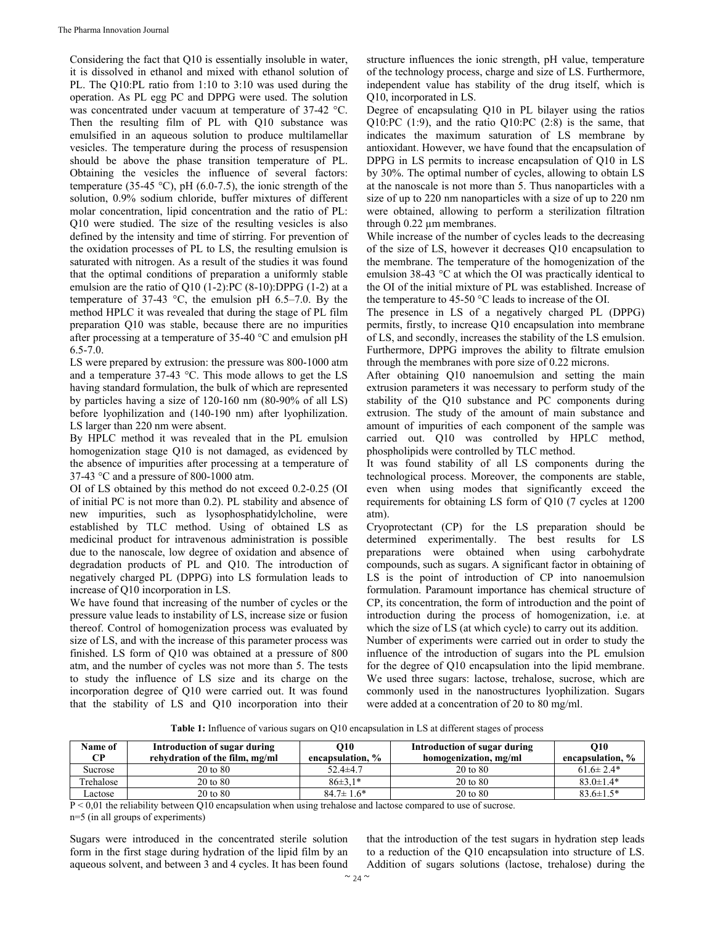Considering the fact that Q10 is essentially insoluble in water, it is dissolved in ethanol and mixed with ethanol solution of PL. The Q10:PL ratio from 1:10 to 3:10 was used during the operation. As PL egg PC and DPPG were used. The solution was concentrated under vacuum at temperature of 37-42 °C. Then the resulting film of PL with Q10 substance was emulsified in an aqueous solution to produce multilamellar vesicles. The temperature during the process of resuspension should be above the phase transition temperature of PL. Obtaining the vesicles the influence of several factors: temperature (35-45 °C), pH (6.0-7.5), the ionic strength of the solution, 0.9% sodium chloride, buffer mixtures of different molar concentration, lipid concentration and the ratio of PL: Q10 were studied. The size of the resulting vesicles is also defined by the intensity and time of stirring. For prevention of the oxidation processes of PL to LS, the resulting emulsion is saturated with nitrogen. As a result of the studies it was found that the optimal conditions of preparation a uniformly stable emulsion are the ratio of Q10 (1-2): PC  $(8-10)$ : DPPG (1-2) at a temperature of 37-43  $\degree$ C, the emulsion pH 6.5–7.0. By the method HPLC it was revealed that during the stage of PL film preparation Q10 was stable, because there are no impurities after processing at a temperature of 35-40 °C and emulsion pH 6.5-7.0.

LS were prepared by extrusion: the pressure was 800-1000 atm and a temperature 37-43 °C. This mode allows to get the LS having standard formulation, the bulk of which are represented by particles having a size of 120-160 nm (80-90% of all LS) before lyophilization and (140-190 nm) after lyophilization. LS larger than 220 nm were absent.

By HPLC method it was revealed that in the PL emulsion homogenization stage Q10 is not damaged, as evidenced by the absence of impurities after processing at a temperature of 37-43 °C and a pressure of 800-1000 atm.

OI of LS obtained by this method do not exceed 0.2-0.25 (OI of initial PC is not more than 0.2). PL stability and absence of new impurities, such as lysophosphatidylcholine, were established by TLC method. Using of obtained LS as medicinal product for intravenous administration is possible due to the nanoscale, low degree of oxidation and absence of degradation products of PL and Q10. The introduction of negatively charged PL (DPPG) into LS formulation leads to increase of Q10 incorporation in LS.

We have found that increasing of the number of cycles or the pressure value leads to instability of LS, increase size or fusion thereof. Control of homogenization process was evaluated by size of LS, and with the increase of this parameter process was finished. LS form of Q10 was obtained at a pressure of 800 atm, and the number of cycles was not more than 5. The tests to study the influence of LS size and its charge on the incorporation degree of Q10 were carried out. It was found that the stability of LS and Q10 incorporation into their structure influences the ionic strength, pH value, temperature of the technology process, charge and size of LS. Furthermore, independent value has stability of the drug itself, which is Q10, incorporated in LS.

Degree of encapsulating Q10 in PL bilayer using the ratios Q10:PC (1:9), and the ratio Q10:PC (2:8) is the same, that indicates the maximum saturation of LS membrane by antioxidant. However, we have found that the encapsulation of DPPG in LS permits to increase encapsulation of Q10 in LS by 30%. The optimal number of cycles, allowing to obtain LS at the nanoscale is not more than 5. Thus nanoparticles with a size of up to 220 nm nanoparticles with a size of up to 220 nm were obtained, allowing to perform a sterilization filtration through 0.22 µm membranes.

While increase of the number of cycles leads to the decreasing of the size of LS, however it decreases Q10 encapsulation to the membrane. The temperature of the homogenization of the emulsion 38-43 °C at which the OI was practically identical to the OI of the initial mixture of PL was established. Increase of the temperature to 45-50 °C leads to increase of the OI.

The presence in LS of a negatively charged PL (DPPG) permits, firstly, to increase Q10 encapsulation into membrane of LS, and secondly, increases the stability of the LS emulsion. Furthermore, DPPG improves the ability to filtrate emulsion through the membranes with pore size of 0.22 microns.

After obtaining Q10 nanoemulsion and setting the main extrusion parameters it was necessary to perform study of the stability of the Q10 substance and PC components during extrusion. The study of the amount of main substance and amount of impurities of each component of the sample was carried out. Q10 was controlled by HPLC method, phospholipids were controlled by TLC method.

It was found stability of all LS components during the technological process. Moreover, the components are stable, even when using modes that significantly exceed the requirements for obtaining LS form of Q10 (7 cycles at 1200 atm).

Cryoprotectant (CP) for the LS preparation should be determined experimentally. The best results for LS preparations were obtained when using carbohydrate compounds, such as sugars. A significant factor in obtaining of LS is the point of introduction of CP into nanoemulsion formulation. Paramount importance has chemical structure of CP, its concentration, the form of introduction and the point of introduction during the process of homogenization, i.e. at which the size of LS (at which cycle) to carry out its addition.

Number of experiments were carried out in order to study the influence of the introduction of sugars into the PL emulsion for the degree of Q10 encapsulation into the lipid membrane. We used three sugars: lactose, trehalose, sucrose, which are commonly used in the nanostructures lyophilization. Sugars were added at a concentration of 20 to 80 mg/ml.

**Table 1:** Influence of various sugars on Q10 encapsulation in LS at different stages of process

| Name of<br>CР | Introduction of sugar during<br>rehydration of the film, mg/ml | O10<br>encapsulation, % | Introduction of sugar during<br>homogenization, mg/ml | <b>O10</b><br>encapsulation, % |
|---------------|----------------------------------------------------------------|-------------------------|-------------------------------------------------------|--------------------------------|
| Sucrose       | 20 to 80                                                       | $52.4 \pm 4.7$          | 20 to 80                                              | $61.6 \pm 2.4*$                |
| Trehalose     | 20 to 80                                                       | $86\pm3.1*$             | 20 to 80                                              | $83.0 \pm 1.4*$                |
| Lactose       | 20 to 80                                                       | $84.7 \pm 1.6^*$        | 20 to 80                                              | $83.6 \pm 1.5*$                |

 $P < 0.01$  the reliability between Q10 encapsulation when using trehalose and lactose compared to use of sucrose.

n=5 (in all groups of experiments)

Sugars were introduced in the concentrated sterile solution form in the first stage during hydration of the lipid film by an aqueous solvent, and between 3 and 4 cycles. It has been found

that the introduction of the test sugars in hydration step leads to a reduction of the Q10 encapsulation into structure of LS. Addition of sugars solutions (lactose, trehalose) during the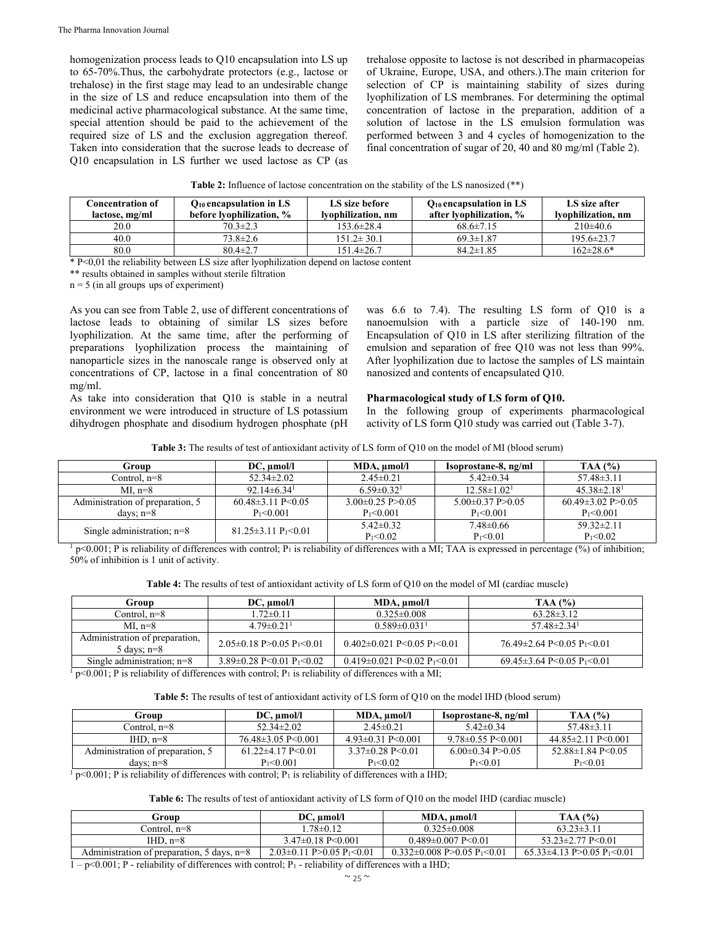homogenization process leads to Q10 encapsulation into LS up to 65-70%.Thus, the carbohydrate protectors (e.g., lactose or trehalose) in the first stage may lead to an undesirable change in the size of LS and reduce encapsulation into them of the medicinal active pharmacological substance. At the same time, special attention should be paid to the achievement of the required size of LS and the exclusion aggregation thereof. Taken into consideration that the sucrose leads to decrease of Q10 encapsulation in LS further we used lactose as CP (as

trehalose opposite to lactose is not described in pharmacopeias of Ukraine, Europe, USA, and others.).The main criterion for selection of CP is maintaining stability of sizes during lyophilization of LS membranes. For determining the optimal concentration of lactose in the preparation, addition of a solution of lactose in the LS emulsion formulation was performed between 3 and 4 cycles of homogenization to the final concentration of sugar of 20, 40 and 80 mg/ml (Table 2).

| <b>Table 2:</b> Influence of lactose concentration on the stability of the LS nanosized (**) |  |  |  |
|----------------------------------------------------------------------------------------------|--|--|--|
|----------------------------------------------------------------------------------------------|--|--|--|

| Concentration of<br>lactose, mg/ml | $Q_{10}$ encapsulation in LS<br>before lyophilization, % | LS size before<br>lvophilization, nm | $Q_{10}$ encapsulation in LS<br>after Ivophilization, % | LS size after<br>lvophilization, nm |
|------------------------------------|----------------------------------------------------------|--------------------------------------|---------------------------------------------------------|-------------------------------------|
| 20.0                               | $70.3 \pm 2.3$                                           | $153.6 \pm 28.4$                     | $68.6 \pm 7.15$                                         | $210\pm 40.6$                       |
| 40.0                               | 73.8±2.6                                                 | $151.2 \pm 30.1$                     | $69.3 \pm 1.87$                                         | $195.6 \pm 23.7$                    |
| 80.0                               | $80.4 \pm 2.7$                                           | $151.4 \pm 26.7$                     | $84.2 \pm 1.85$                                         | $162 \pm 28.6^*$                    |

\* P<0,01 the reliability between LS size after lyophilization depend on lactose content

 $n = 5$  (in all groups ups of experiment)

As you can see from Table 2, use of different concentrations of lactose leads to obtaining of similar LS sizes before lyophilization. At the same time, after the performing of preparations lyophilization process the maintaining of nanoparticle sizes in the nanoscale range is observed only at concentrations of CP, lactose in a final concentration of 80 mg/ml.

As take into consideration that Q10 is stable in a neutral environment we were introduced in structure of LS potassium dihydrogen phosphate and disodium hydrogen phosphate (pH was 6.6 to 7.4). The resulting LS form of Q10 is a nanoemulsion with a particle size of 140-190 nm. Encapsulation of Q10 in LS after sterilizing filtration of the emulsion and separation of free Q10 was not less than 99%. After lyophilization due to lactose the samples of LS maintain nanosized and contents of encapsulated Q10.

#### **Pharmacological study of LS form of Q10.**

In the following group of experiments pharmacological activity of LS form Q10 study was carried out (Table 3-7).

| <b>Table 3:</b> The results of test of antioxidant activity of LS form of Q10 on the model of MI (blood serum) |  |  |
|----------------------------------------------------------------------------------------------------------------|--|--|
|----------------------------------------------------------------------------------------------------------------|--|--|

| Group                            | $DC$ , $umol/l$                       | MDA, µmol/l                  | Isoprostane-8, ng/ml          | TAA $(%)$                   |
|----------------------------------|---------------------------------------|------------------------------|-------------------------------|-----------------------------|
| Control, n=8                     | $52.34 \pm 2.02$                      | $2.45 \pm 0.21$              | $5.42 \pm 0.34$               | $57.48 \pm 3.11$            |
| $ML$ n=8                         | $92.14\pm 6.34$ <sup>1</sup>          | $6.59 \pm 0.32$ <sup>1</sup> | $12.58 \pm 1.02$ <sup>1</sup> | $45.38\pm2.18$ <sup>1</sup> |
| Administration of preparation, 5 | $60.48 \pm 3.11$ P $\leq 0.05$        | $3.00\pm0.25$ P $>0.05$      | $5.00\pm0.37$ P $>0.05$       | $60.49 \pm 3.02$ P $> 0.05$ |
| days: $n=8$                      | $P_1 < 0.001$                         | $P_1 < 0.001$                | $P_1 < 0.001$                 | $P_1 < 0.001$               |
| Single administration; $n=8$     | $81.25 \pm 3.11 \text{ P}_1 \le 0.01$ | $5.42 \pm 0.32$              | $7.48 \pm 0.66$               | $59.32 \pm 2.11$            |
|                                  |                                       | $P_1 < 0.02$                 | $P_1 < 0.01$                  | $P_1 < 0.02$                |

<sup>1</sup> p<0.001; P is reliability of differences with control; P<sub>1</sub> is reliability of differences with a MI; TAA is expressed in percentage (%) of inhibition; 50% of inhibition is 1 unit of activity.

|  |  | Table 4: The results of test of antioxidant activity of LS form of Q10 on the model of MI (cardiac muscle) |
|--|--|------------------------------------------------------------------------------------------------------------|
|--|--|------------------------------------------------------------------------------------------------------------|

| Group                                           | $DC$ , $umol/l$                                 | MDA, µmol/l                                   | TAA(%)                                          |
|-------------------------------------------------|-------------------------------------------------|-----------------------------------------------|-------------------------------------------------|
| Control, n=8                                    | $1.72 \pm 0.11$                                 | $0.325 \pm 0.008$                             | $63.28 \pm 3.12$                                |
| MI. n=8                                         | $4.79 \pm 0.21$ <sup>1</sup>                    | $0.589 \pm 0.031$ <sup>1</sup>                | $57.48 \pm 2.34$ <sup>1</sup>                   |
| Administration of preparation,<br>5 days; $n=8$ | $2.05\pm0.18$ P $>0.05$ P <sub>1</sub> $< 0.01$ | $0.402 \pm 0.021$ P<0.05 P <sub>1</sub> <0.01 | $76.49 \pm 2.64$ P<0.05 P <sub>1</sub> <0.01    |
| Single administration; $n=8$                    | 3.89 $\pm$ 0.28 P<0.01 P <sub>1</sub> <0.02     | $0.419 \pm 0.021$ P<0.02 P <sub>1</sub> <0.01 | $69.45 \pm 3.64$ P < 0.05 P <sub>1</sub> < 0.01 |

 $p<0.001$ ; P is reliability of differences with control; P<sub>1</sub> is reliability of differences with a MI;

**Table 5:** The results of test of antioxidant activity of LS form of Q10 on the model IHD (blood serum)

| $DC$ , $umol/l$           | MDA, umol/l                  | Isoprostane-8, ng/ml         | TAA(%)                          |
|---------------------------|------------------------------|------------------------------|---------------------------------|
| $52.34 \pm 2.02$          | $2.45 \pm 0.21$              | $5.42 \pm 0.34$              | $57.48\pm3.11$                  |
| $76.48\pm3.05$ P<0.001    | $4.93\pm0.31$ P $\leq 0.001$ | $9.78\pm0.55$ P $\leq$ 0.001 | $44.85 \pm 2.11$ P $\leq 0.001$ |
| $61.22\pm4.17$ P $< 0.01$ | $3.37\pm0.28$ P $\leq$ 0.01  | $6.00\pm0.34$ P $>0.05$      | $52.88 \pm 1.84$ P $\leq 0.05$  |
| $P_1 < 0.001$             | $P_1 < 0.02$                 | $P_1 < 0.01$                 | $P_1 < 0.01$                    |
|                           |                              |                              |                                 |

 $p<0.001$ ; P is reliability of differences with control; P<sub>1</sub> is reliability of differences with a IHD;

**Table 6:** The results of test of antioxidant activity of LS form of Q10 on the model IHD (cardiac muscle)

| Group                                                   | $DC$ , $umol/l$                                 | MDA, umol/l                                          | TAA $(%)$                                     |
|---------------------------------------------------------|-------------------------------------------------|------------------------------------------------------|-----------------------------------------------|
| Control. n=8                                            | $.78\pm0.12$                                    | $0.325\pm0.008$                                      | $63.23 \pm 3.11$                              |
| IHD. $n=8$                                              | $3.47\pm0.18$ P $\leq 0.001$                    | $0.489 \pm 0.007$ P<0.01                             | $53.23 \pm 2.77$ P $\leq 0.01$                |
| Administration of preparation, $5 \text{ days}$ , $n=8$ | $2.03\pm0.11$ P $>0.05$ P <sub>1</sub> $< 0.01$ | $0.332\pm0.008$ P $>0.05$ P <sub>1</sub> $\leq 0.01$ | $65.33\pm4.13$ P $>0.05$ P <sub>1</sub> <0.01 |

 $1 - p \le 0.001$ ; P - reliability of differences with control; P<sub>1</sub> - reliability of differences with a IHD;

<sup>\*\*</sup> results obtained in samples without sterile filtration